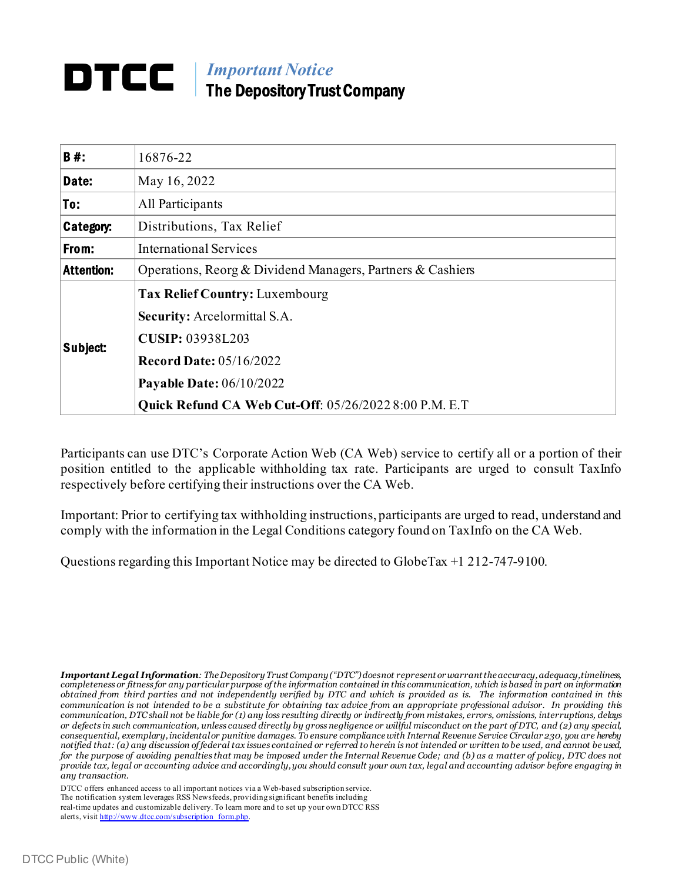## *Important Notice* The Depository Trust Company

| B#:               | 16876-22                                                   |  |  |  |
|-------------------|------------------------------------------------------------|--|--|--|
| Date:             | May 16, 2022                                               |  |  |  |
| To:               | All Participants                                           |  |  |  |
| Category:         | Distributions, Tax Relief                                  |  |  |  |
| From:             | <b>International Services</b>                              |  |  |  |
| <b>Attention:</b> | Operations, Reorg & Dividend Managers, Partners & Cashiers |  |  |  |
|                   | Tax Relief Country: Luxembourg                             |  |  |  |
|                   | <b>Security:</b> Arcelormittal S.A.                        |  |  |  |
| Subject:          | <b>CUSIP: 03938L203</b>                                    |  |  |  |
|                   | <b>Record Date: 05/16/2022</b>                             |  |  |  |
|                   | <b>Payable Date: 06/10/2022</b>                            |  |  |  |
|                   | Quick Refund CA Web Cut-Off: 05/26/2022 8:00 P.M. E.T      |  |  |  |

Participants can use DTC's Corporate Action Web (CA Web) service to certify all or a portion of their position entitled to the applicable withholding tax rate. Participants are urged to consult TaxInfo respectively before certifying their instructions over the CA Web.

Important: Prior to certifying tax withholding instructions, participants are urged to read, understand and comply with the information in the Legal Conditions category found on TaxInfo on the CA Web.

Questions regarding this Important Notice may be directed to GlobeTax +1 212-747-9100.

*Important Legal Information: The Depository Trust Company ("DTC") does not represent or warrant the accuracy, adequacy, timeliness, completeness or fitness for any particular purpose of the information contained in this communication, which is based in part on information obtained from third parties and not independently verified by DTC and which is provided as is. The information contained in this communication is not intended to be a substitute for obtaining tax advice from an appropriate professional advisor. In providing this communication, DTC shall not be liable for (1) any loss resulting directly or indirectly from mistakes, errors, omissions, interruptions, delays or defects in such communication, unless caused directly by gross negligence or willful misconduct on the part of DTC, and (2) any special, consequential, exemplary, incidental or punitive damages. To ensure compliance with Internal Revenue Service Circular 230, you are hereby*  notified that: (a) any discussion of federal tax issues contained or referred to herein is not intended or written to be used, and cannot be used, *for the purpose of avoiding penalties that may be imposed under the Internal Revenue Code; and (b) as a matter of policy, DTC does not provide tax, legal or accounting advice and accordingly, you should consult your own tax, legal and accounting advisor before engaging in any transaction.*

DTCC offers enhanced access to all important notices via a Web-based subscription service. The notification system leverages RSS Newsfeeds, providing significant benefits including real-time updates and customizable delivery. To learn more and to set up your own DTCC RSS alerts, visi[t http://www.dtcc.com/subscription\\_form.php.](http://www.dtcc.com/subscription_form.php)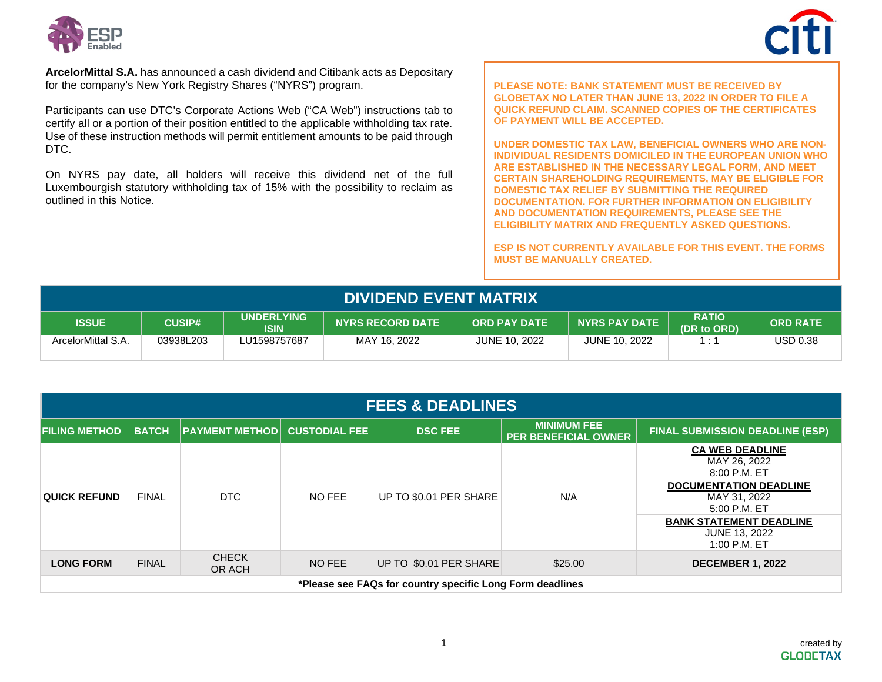



**ArcelorMittal S.A.** has announced a cash dividend and Citibank acts as Depositary for the company's New York Registry Shares ("NYRS") program.

Participants can use DTC's Corporate Actions Web ("CA Web") instructions tab to certify all or a portion of their position entitled to the applicable withholding tax rate. Use of these instruction methods will permit entitlement amounts to be paid through DTC.

On NYRS pay date, all holders will receive this dividend net of the full Luxembourgish statutory withholding tax of 15% with the possibility to reclaim as outlined in this Notice.

**PLEASE NOTE: BANK STATEMENT MUST BE RECEIVED BY GLOBETAX NO LATER THAN JUNE 13, 2022 IN ORDER TO FILE A QUICK REFUND CLAIM. SCANNED COPIES OF THE CERTIFICATES OF PAYMENT WILL BE ACCEPTED.** 

**UNDER DOMESTIC TAX LAW, BENEFICIAL OWNERS WHO ARE NON-INDIVIDUAL RESIDENTS DOMICILED IN THE EUROPEAN UNION WHO ARE ESTABLISHED IN THE NECESSARY LEGAL FORM, AND MEET CERTAIN SHAREHOLDING REQUIREMENTS, MAY BE ELIGIBLE FOR DOMESTIC TAX RELIEF BY SUBMITTING THE REQUIRED DOCUMENTATION. FOR FURTHER INFORMATION ON ELIGIBILITY AND DOCUMENTATION REQUIREMENTS, PLEASE SEE THE ELIGIBILITY MATRIX AND FREQUENTLY ASKED QUESTIONS.** 

**ESP IS NOT CURRENTLY AVAILABLE FOR THIS EVENT. THE FORMS MUST BE MANUALLY CREATED.** 

| <b>DIVIDEND EVENT MATRIX</b> |               |                                  |                         |                      |                      |                             |                 |
|------------------------------|---------------|----------------------------------|-------------------------|----------------------|----------------------|-----------------------------|-----------------|
| <b>ISSUE</b>                 | <b>CUSIP#</b> | <b>UNDERLYING</b><br><b>ISIN</b> | <b>NYRS RECORD DATE</b> | <b>ORD PAY DATE</b>  | <b>NYRS PAY DATE</b> | <b>RATIO</b><br>(DR to ORD) | <b>ORD RATE</b> |
| ArcelorMittal S.A.           | 03938L203     | LU1598757687                     | MAY 16, 2022            | <b>JUNE 10, 2022</b> | <b>JUNE 10, 2022</b> | 1 : 1                       | USD 0.38        |

| <b>FEES &amp; DEADLINES</b>                               |              |                                            |        |                        |                                                   |                                                                                                                                                                                                   |
|-----------------------------------------------------------|--------------|--------------------------------------------|--------|------------------------|---------------------------------------------------|---------------------------------------------------------------------------------------------------------------------------------------------------------------------------------------------------|
| <b>FILING METHOD</b>                                      | <b>BATCH</b> | $\mid$ PAYMENT METHOD $\mid$ CUSTODIAL FEE |        | <b>DSC FEE</b>         | <b>MINIMUM FEE</b><br><b>PER BENEFICIAL OWNER</b> | <b>FINAL SUBMISSION DEADLINE (ESP)</b>                                                                                                                                                            |
| <b>QUICK REFUND</b>                                       | <b>FINAL</b> | DTC                                        | NO FEE | UP TO \$0.01 PER SHARE | N/A                                               | <b>CA WEB DEADLINE</b><br>MAY 26, 2022<br>8:00 P.M. ET<br><b>DOCUMENTATION DEADLINE</b><br>MAY 31, 2022<br>5:00 P.M. ET<br><b>BANK STATEMENT DEADLINE</b><br><b>JUNE 13, 2022</b><br>1:00 P.M. ET |
| <b>LONG FORM</b>                                          | <b>FINAL</b> | <b>CHECK</b><br>OR ACH                     | NO FEE | UP TO \$0.01 PER SHARE | \$25.00                                           | <b>DECEMBER 1, 2022</b>                                                                                                                                                                           |
| *Please see FAQs for country specific Long Form deadlines |              |                                            |        |                        |                                                   |                                                                                                                                                                                                   |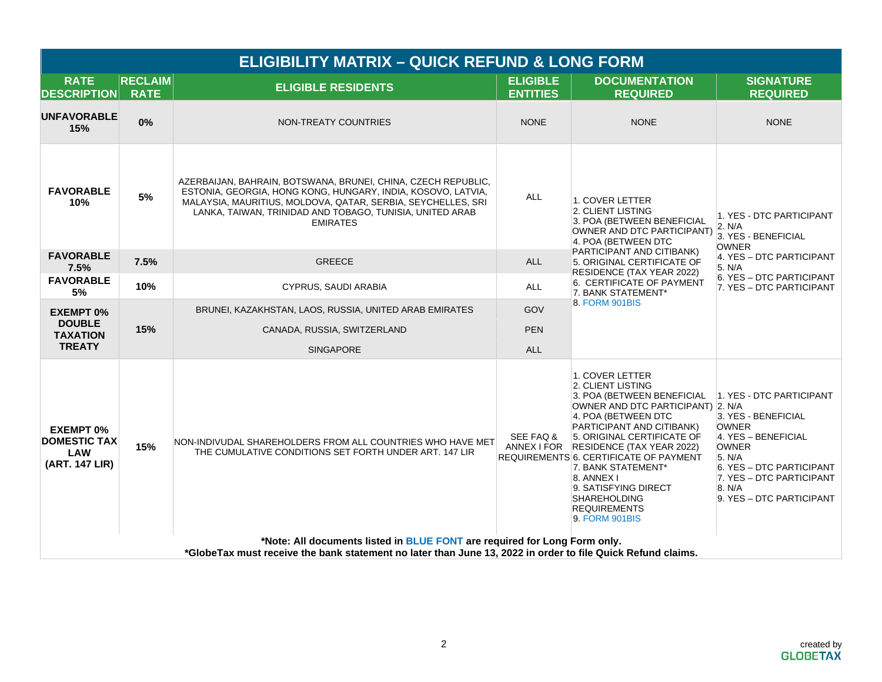| <b>ELIGIBILITY MATRIX - QUICK REFUND &amp; LONG FORM</b>                                                                                                                                 |                               |                                                                                                                                                                                                                                                                              |                                    |                                                                                                                                                                                                                                                                                                                                                                                                          |                                                                                                                                                                                                                |  |
|------------------------------------------------------------------------------------------------------------------------------------------------------------------------------------------|-------------------------------|------------------------------------------------------------------------------------------------------------------------------------------------------------------------------------------------------------------------------------------------------------------------------|------------------------------------|----------------------------------------------------------------------------------------------------------------------------------------------------------------------------------------------------------------------------------------------------------------------------------------------------------------------------------------------------------------------------------------------------------|----------------------------------------------------------------------------------------------------------------------------------------------------------------------------------------------------------------|--|
| <b>RATE</b><br><b>DESCRIPTION</b>                                                                                                                                                        | <b>RECLAIM</b><br><b>RATE</b> | <b>ELIGIBLE RESIDENTS</b>                                                                                                                                                                                                                                                    | <b>ELIGIBLE</b><br><b>ENTITIES</b> | <b>DOCUMENTATION</b><br><b>REQUIRED</b>                                                                                                                                                                                                                                                                                                                                                                  | <b>SIGNATURE</b><br><b>REQUIRED</b>                                                                                                                                                                            |  |
| <b>UNFAVORABLE</b><br>15%                                                                                                                                                                | 0%                            | NON-TREATY COUNTRIES                                                                                                                                                                                                                                                         | <b>NONE</b>                        | <b>NONE</b>                                                                                                                                                                                                                                                                                                                                                                                              | <b>NONE</b>                                                                                                                                                                                                    |  |
| <b>FAVORABLE</b><br>10%                                                                                                                                                                  | 5%                            | AZERBAIJAN, BAHRAIN, BOTSWANA, BRUNEI, CHINA, CZECH REPUBLIC,<br>ESTONIA, GEORGIA, HONG KONG, HUNGARY, INDIA, KOSOVO, LATVIA,<br>MALAYSIA, MAURITIUS, MOLDOVA, QATAR, SERBIA, SEYCHELLES, SRI<br>LANKA, TAIWAN, TRINIDAD AND TOBAGO, TUNISIA, UNITED ARAB<br><b>EMIRATES</b> | <b>ALL</b>                         | 1. COVER LETTER<br>2. CLIENT LISTING<br>1. YES - DTC PARTICIPANT<br>3. POA (BETWEEN BENEFICIAL<br>2. N/A<br>OWNER AND DTC PARTICIPANT)<br>3. YES - BENEFICIAL<br>4. POA (BETWEEN DTC<br><b>OWNER</b><br>PARTICIPANT AND CITIBANK)<br>4. YES - DTC PARTICIPANT<br>5. ORIGINAL CERTIFICATE OF<br>5. N/A                                                                                                    |                                                                                                                                                                                                                |  |
| <b>FAVORABLE</b><br>7.5%                                                                                                                                                                 | 7.5%                          | <b>GREECE</b>                                                                                                                                                                                                                                                                | <b>ALL</b>                         |                                                                                                                                                                                                                                                                                                                                                                                                          |                                                                                                                                                                                                                |  |
| <b>FAVORABLE</b><br>5%                                                                                                                                                                   | 10%                           | <b>CYPRUS, SAUDI ARABIA</b>                                                                                                                                                                                                                                                  | <b>ALL</b>                         | RESIDENCE (TAX YEAR 2022)<br>6. CERTIFICATE OF PAYMENT<br>7. BANK STATEMENT*                                                                                                                                                                                                                                                                                                                             | 6. YES - DTC PARTICIPANT<br>7. YES - DTC PARTICIPANT                                                                                                                                                           |  |
| <b>EXEMPT 0%</b><br><b>DOUBLE</b><br><b>TAXATION</b>                                                                                                                                     | 15%                           | BRUNEI, KAZAKHSTAN, LAOS, RUSSIA, UNITED ARAB EMIRATES                                                                                                                                                                                                                       | <b>GOV</b>                         | 8. FORM 901BIS                                                                                                                                                                                                                                                                                                                                                                                           |                                                                                                                                                                                                                |  |
|                                                                                                                                                                                          |                               | CANADA, RUSSIA, SWITZERLAND                                                                                                                                                                                                                                                  | <b>PEN</b>                         |                                                                                                                                                                                                                                                                                                                                                                                                          |                                                                                                                                                                                                                |  |
| <b>TREATY</b>                                                                                                                                                                            |                               | <b>SINGAPORE</b>                                                                                                                                                                                                                                                             | <b>ALL</b>                         |                                                                                                                                                                                                                                                                                                                                                                                                          |                                                                                                                                                                                                                |  |
| <b>EXEMPT 0%</b><br><b>DOMESTIC TAX</b><br><b>LAW</b><br>(ART. 147 LIR)                                                                                                                  | 15%                           | NON-INDIVUDAL SHAREHOLDERS FROM ALL COUNTRIES WHO HAVE MET<br>THE CUMULATIVE CONDITIONS SET FORTH UNDER ART, 147 LIR                                                                                                                                                         | SEE FAQ &                          | 1. COVER LETTER<br>2. CLIENT LISTING<br>3. POA (BETWEEN BENEFICIAL<br>OWNER AND DTC PARTICIPANT) 2. N/A<br>4. POA (BETWEEN DTC<br>PARTICIPANT AND CITIBANK)<br>5. ORIGINAL CERTIFICATE OF<br>ANNEX I FOR RESIDENCE (TAX YEAR 2022)<br>REQUIREMENTS 6. CERTIFICATE OF PAYMENT<br>7. BANK STATEMENT*<br>8. ANNEX I<br>9. SATISFYING DIRECT<br><b>SHAREHOLDING</b><br><b>REQUIREMENTS</b><br>9. FORM 901BIS | 1. YES - DTC PARTICIPANT<br>3. YES - BENEFICIAL<br><b>OWNER</b><br>4. YES - BENEFICIAL<br><b>OWNER</b><br>5. N/A<br>6. YES - DTC PARTICIPANT<br>7. YES - DTC PARTICIPANT<br>8. N/A<br>9. YES - DTC PARTICIPANT |  |
| *Note: All documents listed in BLUE FONT are required for Long Form only.<br>*GlobeTax must receive the bank statement no later than June 13, 2022 in order to file Quick Refund claims. |                               |                                                                                                                                                                                                                                                                              |                                    |                                                                                                                                                                                                                                                                                                                                                                                                          |                                                                                                                                                                                                                |  |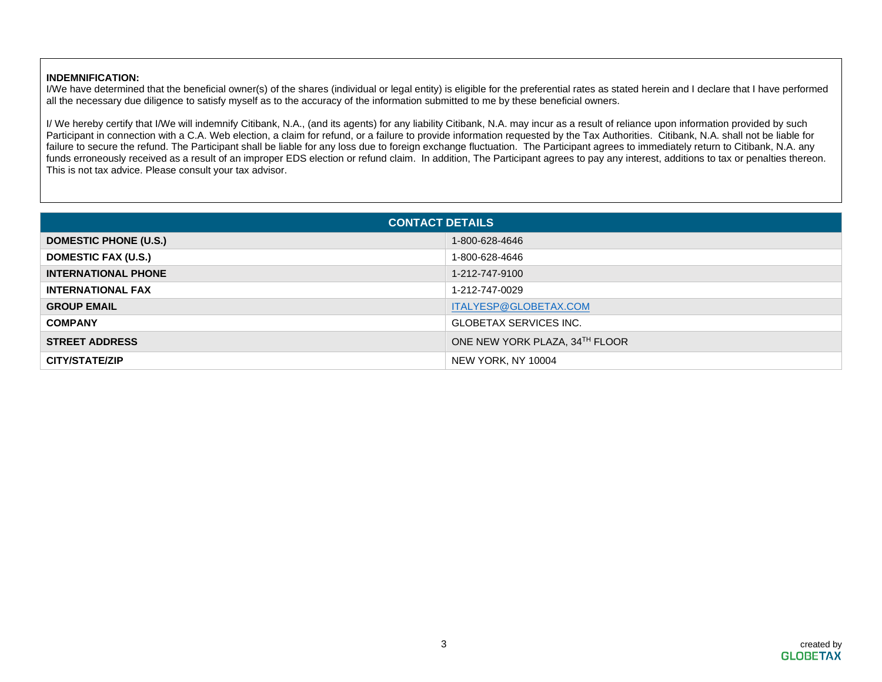## **INDEMNIFICATION:**

I/We have determined that the beneficial owner(s) of the shares (individual or legal entity) is eligible for the preferential rates as stated herein and I declare that I have performed all the necessary due diligence to satisfy myself as to the accuracy of the information submitted to me by these beneficial owners.

I/ We hereby certify that I/We will indemnify Citibank, N.A., (and its agents) for any liability Citibank, N.A. may incur as a result of reliance upon information provided by such Participant in connection with a C.A. Web election, a claim for refund, or a failure to provide information requested by the Tax Authorities. Citibank, N.A. shall not be liable for failure to secure the refund. The Participant shall be liable for any loss due to foreign exchange fluctuation. The Participant agrees to immediately return to Citibank, N.A. any funds erroneously received as a result of an improper EDS election or refund claim. In addition, The Participant agrees to pay any interest, additions to tax or penalties thereon. This is not tax advice. Please consult your tax advisor.

| <b>CONTACT DETAILS</b>       |                                |  |  |  |
|------------------------------|--------------------------------|--|--|--|
| <b>DOMESTIC PHONE (U.S.)</b> | 1-800-628-4646                 |  |  |  |
| <b>DOMESTIC FAX (U.S.)</b>   | 1-800-628-4646                 |  |  |  |
| <b>INTERNATIONAL PHONE</b>   | 1-212-747-9100                 |  |  |  |
| <b>INTERNATIONAL FAX</b>     | 1-212-747-0029                 |  |  |  |
| <b>GROUP EMAIL</b>           | ITALYESP@GLOBETAX.COM          |  |  |  |
| <b>COMPANY</b>               | GLOBETAX SERVICES INC.         |  |  |  |
| <b>STREET ADDRESS</b>        | ONE NEW YORK PLAZA, 34TH FLOOR |  |  |  |
| CITY/STATE/ZIP               | NEW YORK, NY 10004             |  |  |  |